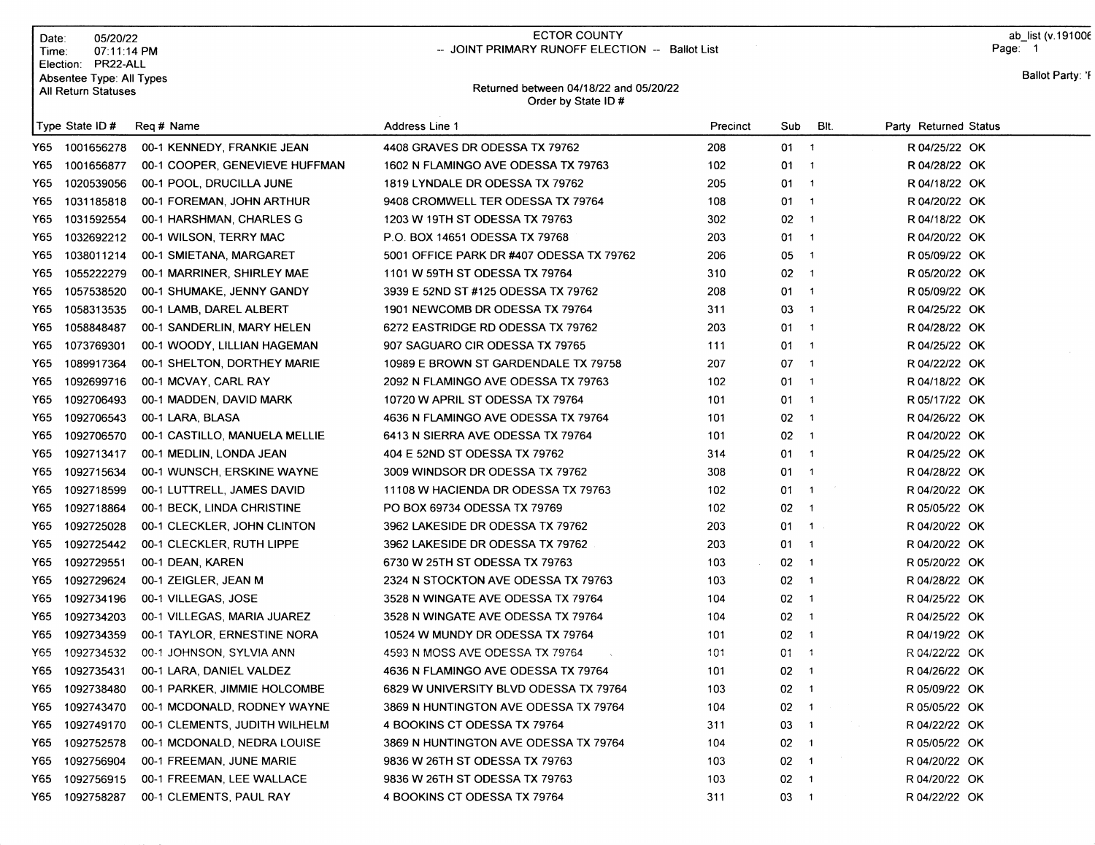| Date:<br>Time:                                                                  | 05/20/22<br>07:11:14 PM |                                         | <b>ECTOR COUNTY</b>                                          | -- JOINT PRIMARY RUNOFF ELECTION -- Ballot List |              |                            |                       | ab list (v.1910<br>Page: 1 |                     |  |
|---------------------------------------------------------------------------------|-------------------------|-----------------------------------------|--------------------------------------------------------------|-------------------------------------------------|--------------|----------------------------|-----------------------|----------------------------|---------------------|--|
| Election:<br>PR22-ALL<br>Absentee Type: All Types<br><b>All Return Statuses</b> |                         |                                         | Returned between 04/18/22 and 05/20/22<br>Order by State ID# |                                                 |              |                            |                       |                            | <b>Ballot Party</b> |  |
|                                                                                 | Type State ID #         | Reg # Name                              | Address Line 1                                               | Precinct                                        | Sub          | BIt.                       | Party Returned Status |                            |                     |  |
|                                                                                 | Y65 1001656278          | 00-1 KENNEDY, FRANKIE JEAN              | 4408 GRAVES DR ODESSA TX 79762                               | 208                                             | $01 \quad 1$ |                            | R 04/25/22 OK         |                            |                     |  |
| Y65.                                                                            | 1001656877              | 00-1 COOPER, GENEVIEVE HUFFMAN          | 1602 N FLAMINGO AVE ODESSA TX 79763                          | 102                                             | 01.          | $\overline{\phantom{a}}$   | R 04/28/22 OK         |                            |                     |  |
| Y65 I                                                                           | 1020539056              | 00-1 POOL, DRUCILLA JUNE                | 1819 LYNDALE DR ODESSA TX 79762                              | 205                                             | 01.          | $\overline{1}$             | R 04/18/22 OK         |                            |                     |  |
| Y65.                                                                            | 1031185818              | 00-1 FOREMAN, JOHN ARTHUR               | 9408 CROMWELL TER ODESSA TX 79764                            | 108                                             | 01           | $\overline{\phantom{a}}$   | R 04/20/22 OK         |                            |                     |  |
| Y65                                                                             | 1031592554              | 00-1 HARSHMAN, CHARLES G                | 1203 W 19TH ST ODESSA TX 79763                               | 302                                             | 02           | $\overline{\phantom{a}}$   | R 04/18/22 OK         |                            |                     |  |
| Y65                                                                             | 1032692212              | 00-1 WILSON, TERRY MAC                  | P.O. BOX 14651 ODESSA TX 79768                               | 203                                             | $01 \quad 1$ |                            | R 04/20/22 OK         |                            |                     |  |
| Y65                                                                             | 1038011214              | 00-1 SMIETANA, MARGARET                 | 5001 OFFICE PARK DR #407 ODESSA TX 79762                     | 206                                             | 05           | $\overline{\phantom{0}}$ 1 | R 05/09/22 OK         |                            |                     |  |
| Y65                                                                             | 1055222279              | 00-1 MARRINER, SHIRLEY MAE              | 1101 W 59TH ST ODESSA TX 79764                               | 310                                             | $02 \t1$     |                            | R 05/20/22 OK         |                            |                     |  |
| Y65 I                                                                           | 1057538520              | 00-1 SHUMAKE, JENNY GANDY               | 3939 E 52ND ST #125 ODESSA TX 79762                          | 208                                             | $01 \quad 1$ |                            | R 05/09/22 OK         |                            |                     |  |
| Y65                                                                             | 1058313535              | 00-1 LAMB, DAREL ALBERT                 | 1901 NEWCOMB DR ODESSA TX 79764                              | 311                                             | 03.          | $\overline{\phantom{a}}$   | R 04/25/22 OK         |                            |                     |  |
| Y65                                                                             | 1058848487              | 00-1 SANDERLIN, MARY HELEN              | 6272 EASTRIDGE RD ODESSA TX 79762                            | 203                                             | $01 \quad 1$ |                            | R 04/28/22 OK         |                            |                     |  |
| Y65                                                                             | 1073769301              | 00-1 WOODY, LILLIAN HAGEMAN             | 907 SAGUARO CIR ODESSA TX 79765                              | 111                                             | $01 \quad 1$ |                            | R 04/25/22 OK         |                            |                     |  |
| Y65                                                                             | 1089917364              | 00-1 SHELTON, DORTHEY MARIE             | 10989 E BROWN ST GARDENDALE TX 79758                         | 207                                             | $07 - 1$     |                            | R 04/22/22 OK         |                            |                     |  |
| Y65                                                                             | 1092699716              | 00-1 MCVAY, CARL RAY                    | 2092 N FLAMINGO AVE ODESSA TX 79763                          | 102                                             | $01 \quad 1$ |                            | R 04/18/22 OK         |                            |                     |  |
| Y65.                                                                            | 1092706493              | 00-1 MADDEN, DAVID MARK                 | 10720 W APRIL ST ODESSA TX 79764                             | 101                                             | $01 \quad 1$ |                            | R 05/17/22 OK         |                            |                     |  |
| Y65                                                                             | 1092706543              | 00-1 LARA, BLASA                        | 4636 N FLAMINGO AVE ODESSA TX 79764                          | 101                                             | $02 \t1$     |                            | R 04/26/22 OK         |                            |                     |  |
| Y65                                                                             | 1092706570              | 00-1 CASTILLO, MANUELA MELLIE           | 6413 N SIERRA AVE ODESSA TX 79764                            | 101                                             | $02 \t1$     |                            | R 04/20/22 OK         |                            |                     |  |
| Y65                                                                             | 1092713417              | 00-1 MEDLIN, LONDA JEAN                 | 404 E 52ND ST ODESSA TX 79762                                | 314                                             | $01 \quad 1$ |                            | R 04/25/22 OK         |                            |                     |  |
| Y65                                                                             | 1092715634              | 00-1 WUNSCH, ERSKINE WAYNE              | 3009 WINDSOR DR ODESSA TX 79762                              | 308                                             | $01 \quad 1$ |                            | R 04/28/22 OK         |                            |                     |  |
| Y65.                                                                            | 1092718599              | 00-1 LUTTRELL, JAMES DAVID              | 11108 W HACIENDA DR ODESSA TX 79763                          | 102                                             | $01 \quad 1$ |                            | R 04/20/22 OK         |                            |                     |  |
| Y65.                                                                            | 1092718864              | 00-1 BECK, LINDA CHRISTINE              | PO BOX 69734 ODESSA TX 79769                                 | 102                                             | $02 \t1$     |                            | R 05/05/22 OK         |                            |                     |  |
| Y65                                                                             | 1092725028              | 00-1 CLECKLER, JOHN CLINTON             | 3962 LAKESIDE DR ODESSA TX 79762                             | 203                                             | 01           | $\overline{1}$             | R 04/20/22 OK         |                            |                     |  |
| Y65                                                                             | 1092725442              | 00-1 CLECKLER, RUTH LIPPE               | 3962 LAKESIDE DR ODESSA TX 79762                             | 203                                             | $01 \quad 1$ |                            | R 04/20/22 OK         |                            |                     |  |
| Y65.                                                                            | 1092729551              | 00-1 DEAN, KAREN                        | 6730 W 25TH ST ODESSA TX 79763                               | 103                                             | $02 \quad 1$ |                            | R 05/20/22 OK         |                            |                     |  |
| Y65                                                                             | 1092729624              | 00-1 ZEIGLER, JEAN M                    | 2324 N STOCKTON AVE ODESSA TX 79763                          | 103                                             | $02 \t1$     |                            | R 04/28/22 OK         |                            |                     |  |
| Y65                                                                             | 1092734196              | 00-1 VILLEGAS, JOSE                     | 3528 N WINGATE AVE ODESSA TX 79764                           | 104                                             | $02 \t1$     |                            | R 04/25/22 OK         |                            |                     |  |
| Y65                                                                             | 1092734203              | 00-1 VILLEGAS, MARIA JUAREZ             | 3528 N WINGATE AVE ODESSA TX 79764                           | 104                                             | $02 \t1$     |                            | R 04/25/22 OK         |                            |                     |  |
| Y65                                                                             | 1092734359              | 00-1 TAYLOR, ERNESTINE NORA             | 10524 W MUNDY DR ODESSA TX 79764                             | 101                                             | 02           | $\overline{\mathbf{1}}$    | R 04/19/22 OK         |                            |                     |  |
|                                                                                 |                         | Y65 1092734532 00-1 JOHNSON, SYLVIA ANN | 4593 N MOSS AVE ODESSA TX 79764                              | 101                                             | $01 \t 1$    |                            | R 04/22/22 OK         |                            |                     |  |
| Y65.                                                                            | 1092735431              | 00-1 LARA, DANIEL VALDEZ                | 4636 N FLAMINGO AVE ODESSA TX 79764                          | 101                                             | $02 \t1$     |                            | R 04/26/22 OK         |                            |                     |  |
| Y65                                                                             | 1092738480              | 00-1 PARKER, JIMMIE HOLCOMBE            | 6829 W UNIVERSITY BLVD ODESSA TX 79764                       | 103                                             | $02 \t1$     |                            | R 05/09/22 OK         |                            |                     |  |
| Y65.                                                                            | 1092743470              | 00-1 MCDONALD, RODNEY WAYNE             | 3869 N HUNTINGTON AVE ODESSA TX 79764                        | 104                                             | $02 \t1$     |                            | R 05/05/22 OK         |                            |                     |  |
| Y65.                                                                            | 1092749170              | 00-1 CLEMENTS, JUDITH WILHELM           | 4 BOOKINS CT ODESSA TX 79764                                 | 311                                             | $03 \quad 1$ |                            | R 04/22/22 OK         |                            |                     |  |
| Y65                                                                             | 1092752578              | 00-1 MCDONALD, NEDRA LOUISE             | 3869 N HUNTINGTON AVE ODESSA TX 79764                        | 104                                             | $02 \t1$     |                            | R 05/05/22 OK         |                            |                     |  |
| Y65                                                                             | 1092756904              | 00-1 FREEMAN, JUNE MARIE                | 9836 W 26TH ST ODESSA TX 79763                               | 103                                             | $02 \t1$     |                            | R 04/20/22 OK         |                            |                     |  |
| Y65.                                                                            | 1092756915              | 00-1 FREEMAN, LEE WALLACE               | 9836 W 26TH ST ODESSA TX 79763                               | 103                                             | $02 \t1$     |                            | R 04/20/22 OK         |                            |                     |  |
|                                                                                 | Y65 1092758287          | 00-1 CLEMENTS, PAUL RAY                 | 4 BOOKINS CT ODESSA TX 79764                                 | 311                                             | $03 - 1$     |                            | R 04/22/22 OK         |                            |                     |  |

ab\_list (v.19100€

 $\mathbf{y}$ : 'f

# ECTOR COUNTY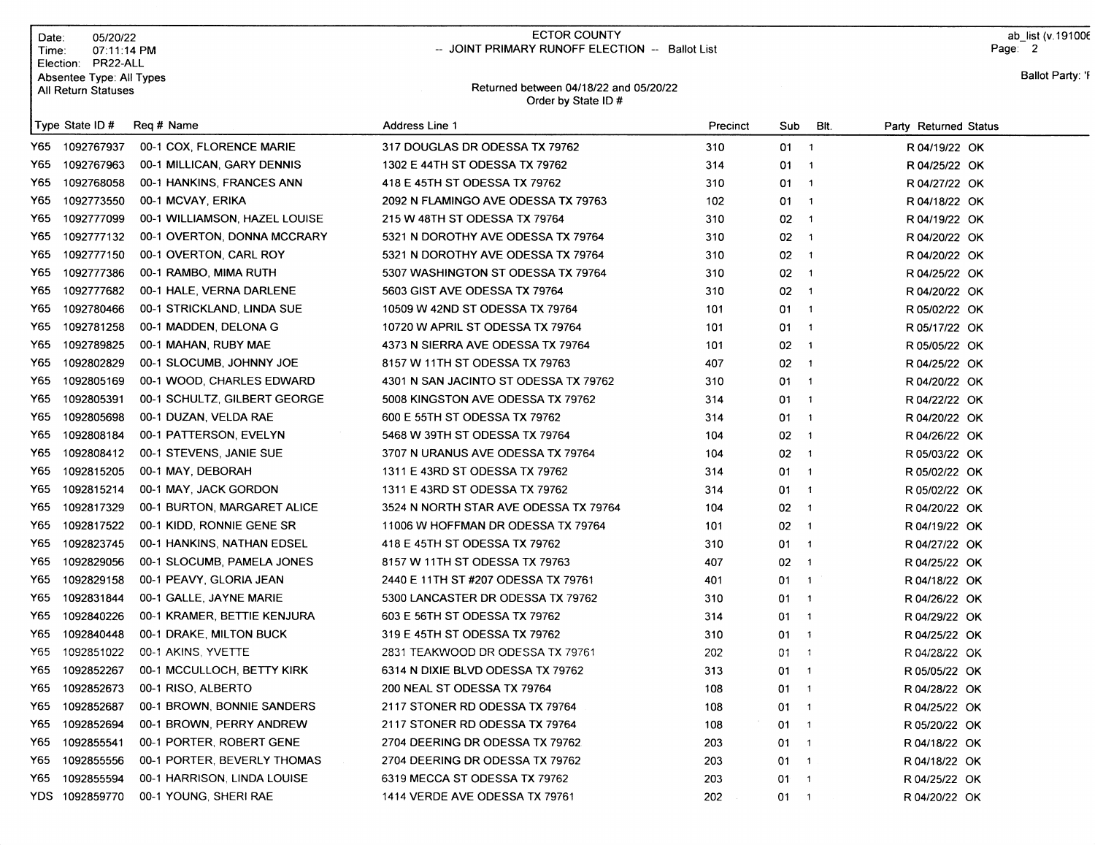| Date:<br>Time: | 05/20/22<br>07:11:14 PM<br>Election: PR22-ALL   |                               | <b>ECTOR COUNTY</b><br>-- JOINT PRIMARY RUNOFF ELECTION -- Ballot List |          |                                |                               | ab list (v.191006<br>Page: 2 |  |  |
|----------------|-------------------------------------------------|-------------------------------|------------------------------------------------------------------------|----------|--------------------------------|-------------------------------|------------------------------|--|--|
|                | Absentee Type: All Types<br>All Return Statuses |                               | Returned between 04/18/22 and 05/20/22<br>Order by State ID#           |          |                                |                               | Ballot Party: 'F             |  |  |
|                | Type State ID#                                  | Req # Name                    | Address Line 1                                                         | Precinct | Sub                            | BIt.<br>Party Returned Status |                              |  |  |
|                | Y65 1092767937                                  | 00-1 COX, FLORENCE MARIE      | 317 DOUGLAS DR ODESSA TX 79762                                         | 310      | 01 1                           | R 04/19/22 OK                 |                              |  |  |
| Y65.           | 1092767963                                      | 00-1 MILLICAN, GARY DENNIS    | 1302 E 44TH ST ODESSA TX 79762                                         | 314      | $01 \quad 1$                   | R 04/25/22 OK                 |                              |  |  |
| Y65.           | 1092768058                                      | 00-1 HANKINS, FRANCES ANN     | 418 E 45TH ST ODESSA TX 79762                                          | 310      | $01 \quad 1$                   | R 04/27/22 OK                 |                              |  |  |
| Y65.           | 1092773550                                      | 00-1 MCVAY, ERIKA             | 2092 N FLAMINGO AVE ODESSA TX 79763                                    | 102      | $01 \quad 1$                   | R 04/18/22 OK                 |                              |  |  |
| Y65.           | 1092777099                                      | 00-1 WILLIAMSON, HAZEL LOUISE | 215 W 48TH ST ODESSA TX 79764                                          | 310      | $02 \t1$                       | R 04/19/22 OK                 |                              |  |  |
| Y65.           | 1092777132                                      | 00-1 OVERTON, DONNA MCCRARY   | 5321 N DOROTHY AVE ODESSA TX 79764                                     | 310      | $02 \t1$                       | R 04/20/22 OK                 |                              |  |  |
| Y65            | 1092777150                                      | 00-1 OVERTON, CARL ROY        | 5321 N DOROTHY AVE ODESSA TX 79764                                     | 310      | 02<br>$\blacksquare$           | R 04/20/22 OK                 |                              |  |  |
| Y65.           | 1092777386                                      | 00-1 RAMBO, MIMA RUTH         | 5307 WASHINGTON ST ODESSA TX 79764                                     | 310      | $02 \t1$                       | R 04/25/22 OK                 |                              |  |  |
| Y65.           | 1092777682                                      | 00-1 HALE, VERNA DARLENE      | 5603 GIST AVE ODESSA TX 79764                                          | 310      | $02 - 1$                       | R 04/20/22 OK                 |                              |  |  |
| Y65.           | 1092780466                                      | 00-1 STRICKLAND, LINDA SUE    | 10509 W 42ND ST ODESSA TX 79764                                        | 101      | $01 \quad 1$                   | R 05/02/22 OK                 |                              |  |  |
| Y65.           | 1092781258                                      | 00-1 MADDEN, DELONA G         | 10720 W APRIL ST ODESSA TX 79764                                       | 101      | $01 \quad 1$                   | R 05/17/22 OK                 |                              |  |  |
| Y65.           | 1092789825                                      | 00-1 MAHAN, RUBY MAE          | 4373 N SIERRA AVE ODESSA TX 79764                                      | 101      | $02 \quad 1$                   | R 05/05/22 OK                 |                              |  |  |
| Y65.           | 1092802829                                      | 00-1 SLOCUMB, JOHNNY JOE      | 8157 W 11TH ST ODESSA TX 79763                                         | 407      | 02<br>$\overline{\phantom{1}}$ | R 04/25/22 OK                 |                              |  |  |
| Y65.           | 1092805169                                      | 00-1 WOOD, CHARLES EDWARD     | 4301 N SAN JACINTO ST ODESSA TX 79762                                  | 310      | $01 \quad 1$                   | R 04/20/22 OK                 |                              |  |  |
| Y65.           | 1092805391                                      | 00-1 SCHULTZ, GILBERT GEORGE  | 5008 KINGSTON AVE ODESSA TX 79762                                      | 314      | $01 \quad 1$                   | R 04/22/22 OK                 |                              |  |  |
| Y65.           | 1092805698                                      | 00-1 DUZAN, VELDA RAE         | 600 E 55TH ST ODESSA TX 79762                                          | 314      | $01 \quad 1$                   | R 04/20/22 OK                 |                              |  |  |
| Y65.           | 1092808184                                      | 00-1 PATTERSON, EVELYN        | 5468 W 39TH ST ODESSA TX 79764                                         | 104      | $02 \t1$                       | R 04/26/22 OK                 |                              |  |  |
| Y65.           | 1092808412                                      | 00-1 STEVENS, JANIE SUE       | 3707 N URANUS AVE ODESSA TX 79764                                      | 104      | $02 \t1$                       | R 05/03/22 OK                 |                              |  |  |
| Y65.           | 1092815205                                      | 00-1 MAY, DEBORAH             | 1311 E 43RD ST ODESSA TX 79762                                         | 314      | 01<br>$\overline{\phantom{a}}$ | R 05/02/22 OK                 |                              |  |  |
| Y65            | 1092815214                                      | 00-1 MAY, JACK GORDON         | 1311 E 43RD ST ODESSA TX 79762                                         | 314      | 01<br>$\blacksquare$ 1         | R 05/02/22 OK                 |                              |  |  |
| Y65            | 1092817329                                      | 00-1 BURTON, MARGARET ALICE   | 3524 N NORTH STAR AVE ODESSA TX 79764                                  | 104      | $02 - 1$                       | R 04/20/22 OK                 |                              |  |  |
| Y65            | 1092817522                                      | 00-1 KIDD, RONNIE GENE SR     | 11006 W HOFFMAN DR ODESSA TX 79764                                     | 101      | $02 \t1$                       | R 04/19/22 OK                 |                              |  |  |
| Y65.           | 1092823745                                      | 00-1 HANKINS, NATHAN EDSEL    | 418 E 45TH ST ODESSA TX 79762                                          | 310      | $01 \quad 1$                   | R 04/27/22 OK                 |                              |  |  |
| Y65.           | 1092829056                                      | 00-1 SLOCUMB, PAMELA JONES    | 8157 W 11TH ST ODESSA TX 79763                                         | 407      | $02 \t1$                       | R 04/25/22 OK                 |                              |  |  |
| Y65.           | 1092829158                                      | 00-1 PEAVY, GLORIA JEAN       | 2440 E 11TH ST #207 ODESSA TX 79761                                    | 401      | $01 \quad 1$                   | R 04/18/22 OK                 |                              |  |  |
| Y65.           | 1092831844                                      | 00-1 GALLE, JAYNE MARIE       | 5300 LANCASTER DR ODESSA TX 79762                                      | 310      | $01 \quad 1$                   | R 04/26/22 OK                 |                              |  |  |
| Y65            | 1092840226                                      | 00-1 KRAMER, BETTIE KENJURA   | 603 E 56TH ST ODESSA TX 79762                                          | 314      | $01 \quad 1$                   | R 04/29/22 OK                 |                              |  |  |
|                | Y65 1092840448                                  | 00-1 DRAKE, MILTON BUCK       | 319 E 45TH ST ODESSA TX 79762                                          | 310      | $01 \quad 1$                   | R 04/25/22 OK                 |                              |  |  |
| Y65            | 1092851022                                      | 00-1 AKINS, YVETTE            | 2831 TEAKWOOD DR ODESSA TX 79761                                       | 202      | $01 - 1$                       | R 04/28/22 OK                 |                              |  |  |
| Y65.           | 1092852267                                      | 00-1 MCCULLOCH, BETTY KIRK    | 6314 N DIXIE BLVD ODESSA TX 79762                                      | 313      | $01 \quad 1$                   | R 05/05/22 OK                 |                              |  |  |
| Y65            | 1092852673                                      | 00-1 RISO, ALBERTO            | 200 NEAL ST ODESSA TX 79764                                            | 108      | $01 \quad 1$                   | R 04/28/22 OK                 |                              |  |  |
| Y65            | 1092852687                                      | 00-1 BROWN, BONNIE SANDERS    | 2117 STONER RD ODESSA TX 79764                                         | 108      | $01 \quad 1$                   | R 04/25/22 OK                 |                              |  |  |
| Y65            | 1092852694                                      | 00-1 BROWN, PERRY ANDREW      | 2117 STONER RD ODESSA TX 79764                                         | 108      | $01 \quad 1$                   | R 05/20/22 OK                 |                              |  |  |
| Y65.           | 1092855541                                      | 00-1 PORTER, ROBERT GENE      | 2704 DEERING DR ODESSA TX 79762                                        | 203      | $01 \quad 1$                   | R 04/18/22 OK                 |                              |  |  |
| Y65            | 1092855556                                      | 00-1 PORTER, BEVERLY THOMAS   | 2704 DEERING DR ODESSA TX 79762                                        | 203      | $01 \quad 1$                   | R 04/18/22 OK                 |                              |  |  |
| Y65            | 1092855594                                      | 00-1 HARRISON, LINDA LOUISE   | 6319 MECCA ST ODESSA TX 79762                                          | 203      | $01 \quad 1$                   | R 04/25/22 OK                 |                              |  |  |
|                | YDS 1092859770                                  | 00-1 YOUNG, SHERI RAE         | 1414 VERDE AVE ODESSA TX 79761                                         | 202      | 01 1                           | R 04/20/22 OK                 |                              |  |  |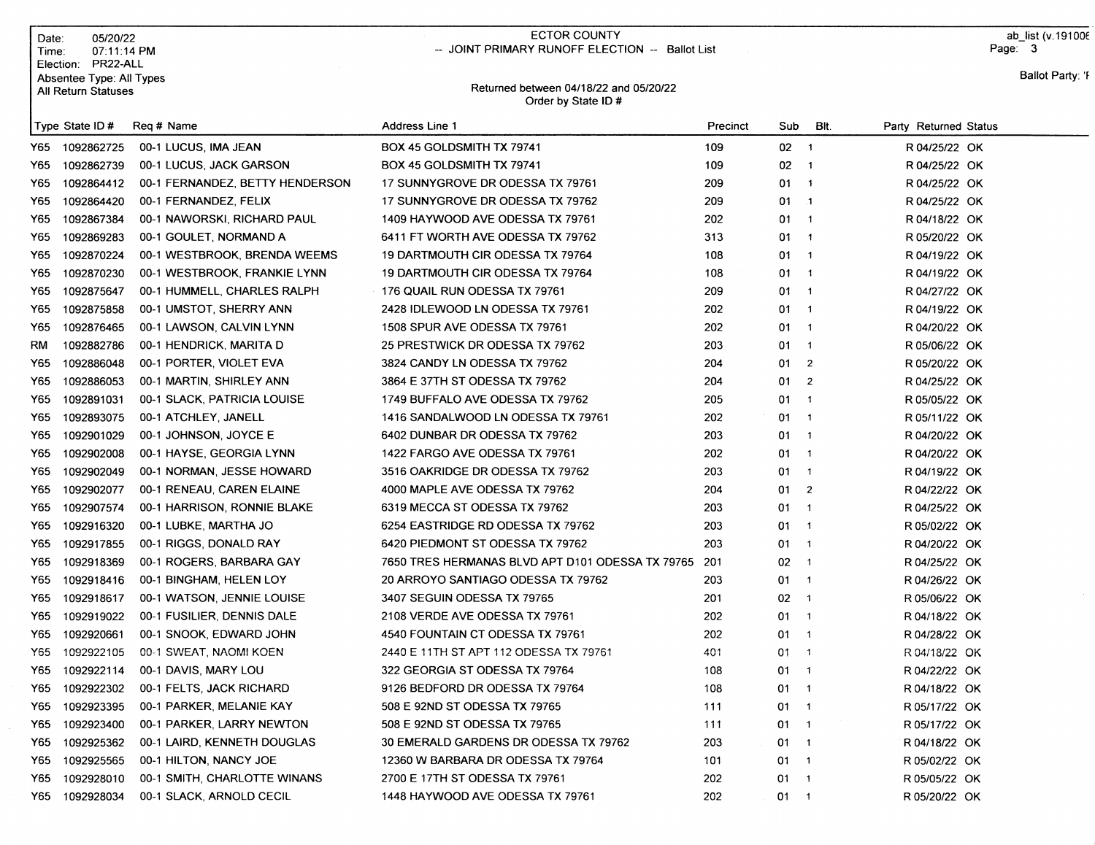| Date∶                      | 05/20/22                 |
|----------------------------|--------------------------|
| Time:                      | 07:11:14 PM              |
| Election:                  | PR22-ALL                 |
|                            | Absentee Type: All Types |
| <b>All Return Statuses</b> |                          |

### ECTOR COUNTY -- JOINT PRIMARY RUNOFF ELECTION -- Ballot List

ab\_list (v.19100€ Page: 3

#### Retumed between 04118122 and O5l2Ol22 Order by State lD #

|  | Ballot Party: 'F |  |
|--|------------------|--|
|--|------------------|--|

|     | Type State ID# | Reg # Name                      | Address Line 1                                       | Precinct | Sub      | BIt.                     | Party Returned Status |  |
|-----|----------------|---------------------------------|------------------------------------------------------|----------|----------|--------------------------|-----------------------|--|
|     | Y65 1092862725 | 00-1 LUCUS, IMA JEAN            | BOX 45 GOLDSMITH TX 79741                            | 109      | $02 - 1$ |                          | R 04/25/22 OK         |  |
| Y65 | 1092862739     | 00-1 LUCUS, JACK GARSON         | BOX 45 GOLDSMITH TX 79741                            | 109      | 02       | $\overline{1}$           | R 04/25/22 OK         |  |
| Y65 | 1092864412     | 00-1 FERNANDEZ, BETTY HENDERSON | 17 SUNNYGROVE DR ODESSA TX 79761                     | 209      | 01       | $\overline{1}$           | R 04/25/22 OK         |  |
| Y65 | 1092864420     | 00-1 FERNANDEZ, FELIX           | 17 SUNNYGROVE DR ODESSA TX 79762                     | 209      | 01       | $\blacksquare$ . 1       | R 04/25/22 OK         |  |
| Y65 | 1092867384     | 00-1 NAWORSKI, RICHARD PAUL     | 1409 HAYWOOD AVE ODESSA TX 79761                     | 202      | 01       | $\overline{\phantom{a}}$ | R 04/18/22 OK         |  |
| Y65 | 1092869283     | 00-1 GOULET, NORMAND A          | 6411 FT WORTH AVE ODESSA TX 79762                    | 313      | 01       | $\overline{\mathbf{1}}$  | R 05/20/22 OK         |  |
| Y65 | 1092870224     | 00-1 WESTBROOK, BRENDA WEEMS    | 19 DARTMOUTH CIR ODESSA TX 79764                     | 108      | 01       | $\overline{\phantom{1}}$ | R 04/19/22 OK         |  |
| Y65 | 1092870230     | 00-1 WESTBROOK, FRANKIE LYNN    | 19 DARTMOUTH CIR ODESSA TX 79764                     | 108      | 01       | $\overline{1}$           | R 04/19/22 OK         |  |
| Y65 | 1092875647     | 00-1 HUMMELL, CHARLES RALPH     | 176 QUAIL RUN ODESSA TX 79761                        | 209      | 01       | $\overline{1}$           | R 04/27/22 OK         |  |
| Y65 | 1092875858     | 00-1 UMSTOT, SHERRY ANN         | 2428 IDLEWOOD LN ODESSA TX 79761                     | 202      | 01       | $\overline{1}$           | R 04/19/22 OK         |  |
| Y65 | 1092876465     | 00-1 LAWSON, CALVIN LYNN        | 1508 SPUR AVE ODESSA TX 79761                        | 202      | 01       | $\overline{\mathbf{1}}$  | R 04/20/22 OK         |  |
| RM  | 1092882786     | 00-1 HENDRICK, MARITA D         | 25 PRESTWICK DR ODESSA TX 79762                      | 203      | 01       | $\overline{1}$           | R 05/06/22 OK         |  |
| Y65 | 1092886048     | 00-1 PORTER, VIOLET EVA         | 3824 CANDY LN ODESSA TX 79762                        | 204      | 01       | $\overline{2}$           | R 05/20/22 OK         |  |
| Y65 | 1092886053     | 00-1 MARTIN, SHIRLEY ANN        | 3864 E 37TH ST ODESSA TX 79762                       | 204      | 01       | $\overline{2}$           | R 04/25/22 OK         |  |
| Y65 | 1092891031     | 00-1 SLACK, PATRICIA LOUISE     | 1749 BUFFALO AVE ODESSA TX 79762                     | 205      | 01       | $\overline{\mathbf{1}}$  | R 05/05/22 OK         |  |
| Y65 | 1092893075     | 00-1 ATCHLEY, JANELL            | 1416 SANDALWOOD LN ODESSA TX 79761                   | 202      | 01       | $\overline{1}$           | R 05/11/22 OK         |  |
| Y65 | 1092901029     | 00-1 JOHNSON, JOYCE E           | 6402 DUNBAR DR ODESSA TX 79762                       | 203      | 01       | $\overline{1}$           | R 04/20/22 OK         |  |
| Y65 | 1092902008     | 00-1 HAYSE, GEORGIA LYNN        | 1422 FARGO AVE ODESSA TX 79761                       | 202      | 01       | $\overline{1}$           | R 04/20/22 OK         |  |
| Y65 | 1092902049     | 00-1 NORMAN, JESSE HOWARD       | 3516 OAKRIDGE DR ODESSA TX 79762                     | 203      | 01       | $\overline{1}$           | R 04/19/22 OK         |  |
| Y65 | 1092902077     | 00-1 RENEAU, CAREN ELAINE       | 4000 MAPLE AVE ODESSA TX 79762                       | 204      | 01       | $\overline{2}$           | R 04/22/22 OK         |  |
| Y65 | 1092907574     | 00-1 HARRISON, RONNIE BLAKE     | 6319 MECCA ST ODESSA TX 79762                        | 203      | 01       | $\overline{1}$           | R 04/25/22 OK         |  |
| Y65 | 1092916320     | 00-1 LUBKE, MARTHA JO           | 6254 EASTRIDGE RD ODESSA TX 79762                    | 203      | 01       | $\overline{1}$           | R 05/02/22 OK         |  |
| Y65 | 1092917855     | 00-1 RIGGS, DONALD RAY          | 6420 PIEDMONT ST ODESSA TX 79762                     | 203      | 01       | $\overline{\mathbf{1}}$  | R 04/20/22 OK         |  |
| Y65 | 1092918369     | 00-1 ROGERS, BARBARA GAY        | 7650 TRES HERMANAS BLVD APT D101 ODESSA TX 79765 201 |          | 02       | $\overline{\phantom{a}}$ | R 04/25/22 OK         |  |
| Y65 | 1092918416     | 00-1 BINGHAM, HELEN LOY         | 20 ARROYO SANTIAGO ODESSA TX 79762                   | 203      | 01       | $\overline{\phantom{a}}$ | R 04/26/22 OK         |  |
| Y65 | 1092918617     | 00-1 WATSON, JENNIE LOUISE      | 3407 SEGUIN ODESSA TX 79765                          | 201      | 02       | $\overline{1}$           | R 05/06/22 OK         |  |
| Y65 | 1092919022     | 00-1 FUSILIER, DENNIS DALE      | 2108 VERDE AVE ODESSA TX 79761                       | 202      | 01       | $\overline{\phantom{a}}$ | R 04/18/22 OK         |  |
| Y65 | 1092920661     | 00-1 SNOOK, EDWARD JOHN         | 4540 FOUNTAIN CT ODESSA TX 79761                     | 202      | 01       | $\overline{\phantom{a}}$ | R 04/28/22 OK         |  |
| Y65 | 1092922105     | 00-1 SWEAT, NAOMI KOEN          | 2440 E 11TH ST APT 112 ODESSA TX 79761               | 401      | 01       | $\overline{\mathbf{1}}$  | R 04/18/22 OK         |  |
| Y65 | 1092922114     | 00-1 DAVIS, MARY LOU            | 322 GEORGIA ST ODESSA TX 79764                       | 108      | 01       | $\overline{\mathbf{1}}$  | R 04/22/22 OK         |  |
| Y65 | 1092922302     | 00-1 FELTS, JACK RICHARD        | 9126 BEDFORD DR ODESSA TX 79764                      | 108      | 01       | $\overline{\mathbf{1}}$  | R 04/18/22 OK         |  |
| Y65 | 1092923395     | 00-1 PARKER, MELANIE KAY        | 508 E 92ND ST ODESSA TX 79765                        | 111      | 01       | $\overline{1}$           | R 05/17/22 OK         |  |
| Y65 | 1092923400     | 00-1 PARKER, LARRY NEWTON       | 508 E 92ND ST ODESSA TX 79765                        | 111      | 01       | $\overline{\mathbf{1}}$  | R 05/17/22 OK         |  |
| Y65 | 1092925362     | 00-1 LAIRD, KENNETH DOUGLAS     | 30 EMERALD GARDENS DR ODESSA TX 79762                | 203      | 01       | $\overline{1}$           | R 04/18/22 OK         |  |
| Y65 | 1092925565     | 00-1 HILTON, NANCY JOE          | 12360 W BARBARA DR ODESSA TX 79764                   | 101      | 01       | $\overline{\mathbf{1}}$  | R 05/02/22 OK         |  |
| Y65 | 1092928010     | 00-1 SMITH, CHARLOTTE WINANS    | 2700 E 17TH ST ODESSA TX 79761                       | 202      | 01       | $\overline{1}$           | R 05/05/22 OK         |  |
| Y65 | 1092928034     | 00-1 SLACK, ARNOLD CECIL        | 1448 HAYWOOD AVE ODESSA TX 79761                     | 202      | 01       | $\overline{1}$           | R 05/20/22 OK         |  |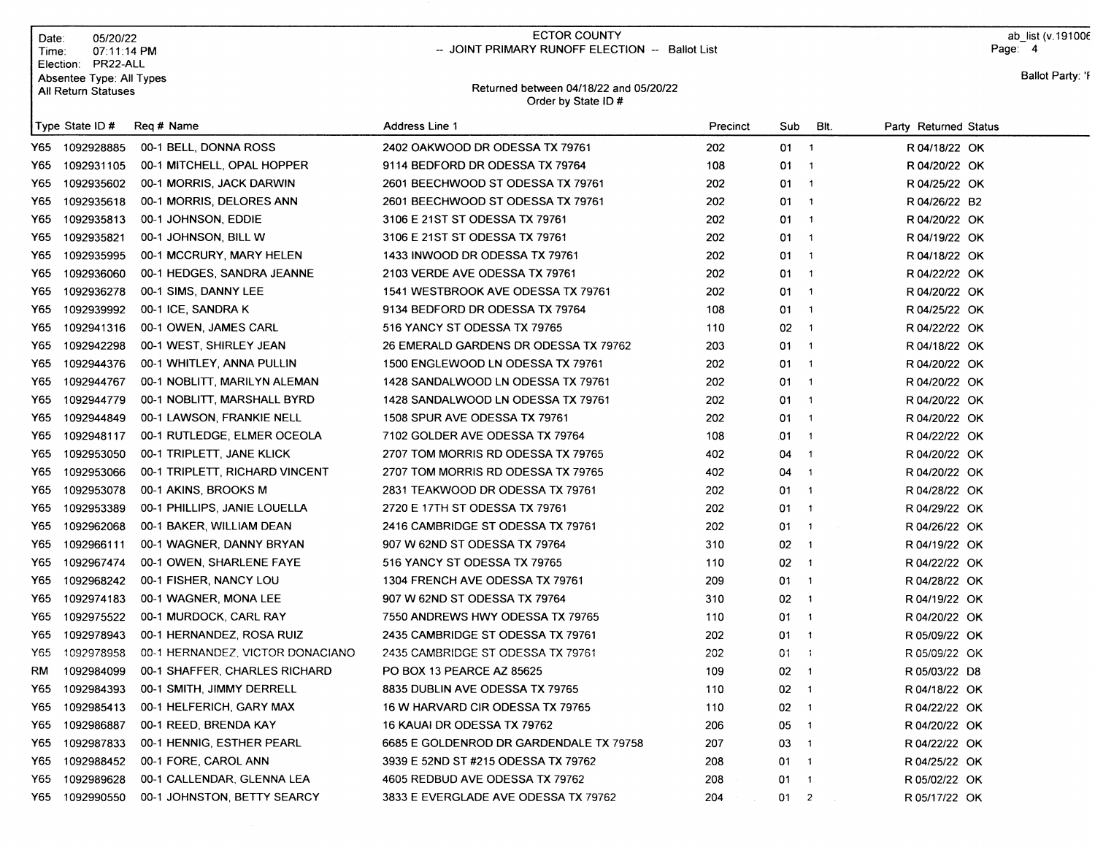| Date:<br>Time:                          | 05/20/22<br>07:11:14 PM              | <b>ECTOR COUNTY</b><br>-- JOINT PRIMARY RUNOFF ELECTION -- Ballot List |          |     |      | ab list (v.191006<br>Page: 4 |  |  |
|-----------------------------------------|--------------------------------------|------------------------------------------------------------------------|----------|-----|------|------------------------------|--|--|
| Election:<br><b>All Return Statuses</b> | PR22-ALL<br>Absentee Type: All Types | Returned between 04/18/22 and 05/20/22<br>Order by State ID#           |          |     |      | Ballot Party: 'F             |  |  |
| Type State ID#                          | Reg # Name                           | Address Line 1                                                         | Precinct | Sub | BIt. | Party Returned Status        |  |  |
| 1092928885<br>Y65                       | 00-1 BELL, DONNA ROSS                | 2402 OAKWOOD DR ODESSA TX 79761                                        | 202      | 01  |      | R 04/18/22 OK                |  |  |
| 1092931105<br>Y65                       | 00-1 MITCHELL, OPAL HOPPER           | 9114 BEDFORD DR ODESSA TX 79764                                        | 108      | 01  |      | R 04/20/22 OK                |  |  |
| 1092935602<br>Y65                       | 00-1 MORRIS, JACK DARWIN             | 2601 BEECHWOOD ST ODESSA TX 79761                                      | 202      | 01. |      | R 04/25/22 OK                |  |  |
| Y65<br>1092935618                       | 00-1 MORRIS, DELORES ANN             | 2601 BEECHWOOD ST ODESSA TX 79761                                      | 202      | 01  |      | R 04/26/22 B2                |  |  |
| 1092935813<br>Y65                       | 00-1 JOHNSON, EDDIE                  | 3106 E 21ST ST ODESSA TX 79761                                         | 202      | 01  |      | R 04/20/22 OK                |  |  |

|       | Y65 1092935602 | 00-1 MORRIS, JACK DARWIN         | 2601 BEECHWOOD ST ODESSA TX 79761       | 202 | $01 \quad 1$  |             | R 04/25/22 OK |
|-------|----------------|----------------------------------|-----------------------------------------|-----|---------------|-------------|---------------|
|       | Y65 1092935618 | 00-1 MORRIS, DELORES ANN         | 2601 BEECHWOOD ST ODESSA TX 79761       | 202 | $01 \quad 1$  |             | R 04/26/22 B2 |
|       | Y65 1092935813 | 00-1 JOHNSON, EDDIE              | 3106 E 21ST ST ODESSA TX 79761          | 202 | $01 \quad 1$  |             | R 04/20/22 OK |
|       | Y65 1092935821 | 00-1 JOHNSON, BILL W             | 3106 E 21ST ST ODESSA TX 79761          | 202 | $01 \quad 1$  |             | R 04/19/22 OK |
|       | Y65 1092935995 | 00-1 MCCRURY, MARY HELEN         | 1433 INWOOD DR ODESSA TX 79761          | 202 | $01 \t1$      |             | R 04/18/22 OK |
|       | Y65 1092936060 | 00-1 HEDGES, SANDRA JEANNE       | 2103 VERDE AVE ODESSA TX 79761          | 202 | $01 \quad 1$  |             | R 04/22/22 OK |
|       | Y65 1092936278 | 00-1 SIMS, DANNY LEE             | 1541 WESTBROOK AVE ODESSA TX 79761      | 202 | $01 \t1$      |             | R 04/20/22 OK |
|       | Y65 1092939992 | 00-1 ICE, SANDRA K               | 9134 BEDFORD DR ODESSA TX 79764         | 108 | $01 \quad 1$  |             | R 04/25/22 OK |
|       | Y65 1092941316 | 00-1 OWEN, JAMES CARL            | 516 YANCY ST ODESSA TX 79765            | 110 | $02 \t1$      |             | R 04/22/22 OK |
|       | Y65 1092942298 | 00-1 WEST, SHIRLEY JEAN          | 26 EMERALD GARDENS DR ODESSA TX 79762   | 203 | $01 \quad 1$  |             | R 04/18/22 OK |
|       | Y65 1092944376 | 00-1 WHITLEY, ANNA PULLIN        | 1500 ENGLEWOOD LN ODESSA TX 79761       | 202 | $01 \quad 1$  |             | R 04/20/22 OK |
|       | Y65 1092944767 | 00-1 NOBLITT, MARILYN ALEMAN     | 1428 SANDALWOOD LN ODESSA TX 79761      | 202 | $01 \quad 1$  |             | R 04/20/22 OK |
|       | Y65 1092944779 | 00-1 NOBLITT, MARSHALL BYRD      | 1428 SANDALWOOD LN ODESSA TX 79761      | 202 | $01 \t1$      |             | R 04/20/22 OK |
|       | Y65 1092944849 | 00-1 LAWSON, FRANKIE NELL        | 1508 SPUR AVE ODESSA TX 79761           | 202 | $01 \quad 1$  |             | R 04/20/22 OK |
|       | Y65 1092948117 | 00-1 RUTLEDGE, ELMER OCEOLA      | 7102 GOLDER AVE ODESSA TX 79764         | 108 | $.01 \quad 1$ |             | R 04/22/22 OK |
|       | Y65 1092953050 | 00-1 TRIPLETT, JANE KLICK        | 2707 TOM MORRIS RD ODESSA TX 79765      | 402 | $04 \quad 1$  |             | R 04/20/22 OK |
|       | Y65 1092953066 | 00-1 TRIPLETT, RICHARD VINCENT   | 2707 TOM MORRIS RD ODESSA TX 79765      | 402 | $04 \quad 1$  |             | R 04/20/22 OK |
|       | Y65 1092953078 | 00-1 AKINS, BROOKS M             | 2831 TEAKWOOD DR ODESSA TX 79761        | 202 | $01 \quad 1$  |             | R 04/28/22 OK |
|       | Y65 1092953389 | 00-1 PHILLIPS, JANIE LOUELLA     | 2720 E 17TH ST ODESSA TX 79761          | 202 | $01 \quad 1$  |             | R 04/29/22 OK |
|       | Y65 1092962068 | 00-1 BAKER, WILLIAM DEAN         | 2416 CAMBRIDGE ST ODESSA TX 79761       | 202 | $01 \quad 1$  |             | R 04/26/22 OK |
|       | Y65 1092966111 | 00-1 WAGNER, DANNY BRYAN         | 907 W 62ND ST ODESSA TX 79764           | 310 | $02 \t1$      |             | R 04/19/22 OK |
|       | Y65 1092967474 | 00-1 OWEN, SHARLENE FAYE         | 516 YANCY ST ODESSA TX 79765            | 110 | $02 \t1$      |             | R 04/22/22 OK |
|       | Y65 1092968242 | 00-1 FISHER, NANCY LOU           | 1304 FRENCH AVE ODESSA TX 79761         | 209 | $01 \t1$      |             | R 04/28/22 OK |
| Y65 I | 1092974183     | 00-1 WAGNER, MONA LEE            | 907 W 62ND ST ODESSA TX 79764           | 310 | $02 \t1$      |             | R 04/19/22 OK |
|       | Y65 1092975522 | 00-1 MURDOCK, CARL RAY           | 7550 ANDREWS HWY ODESSA TX 79765        | 110 | $01 \quad 1$  |             | R 04/20/22 OK |
|       | Y65 1092978943 | 00-1 HERNANDEZ, ROSA RUIZ        | 2435 CAMBRIDGE ST ODESSA TX 79761       | 202 | $01 \quad 1$  |             | R 05/09/22 OK |
|       | Y65 1092978958 | 00-1 HERNANDEZ, VICTOR DONACIANO | 2435 CAMBRIDGE ST ODESSA TX 79761       | 202 | $01 \quad 1$  |             | R 05/09/22 OK |
| RM    | 1092984099     | 00-1 SHAFFER, CHARLES RICHARD    | PO BOX 13 PEARCE AZ 85625               | 109 | $02 \t1$      |             | R 05/03/22 D8 |
|       | Y65 1092984393 | 00-1 SMITH, JIMMY DERRELL        | 8835 DUBLIN AVE ODESSA TX 79765         | 110 | $02 \t1$      |             | R 04/18/22 OK |
|       | Y65 1092985413 | 00-1 HELFERICH, GARY MAX         | 16 W HARVARD CIR ODESSA TX 79765        | 110 | $02 \t1$      |             | R 04/22/22 OK |
|       | Y65 1092986887 | 00-1 REED, BRENDA KAY            | 16 KAUAI DR ODESSA TX 79762             | 206 | 05 1          |             | R 04/20/22 OK |
|       | Y65 1092987833 | 00-1 HENNIG, ESTHER PEARL        | 6685 E GOLDENROD DR GARDENDALE TX 79758 | 207 | $03 - 1$      |             | R 04/22/22 OK |
|       | Y65 1092988452 | 00-1 FORE, CAROL ANN             | 3939 E 52ND ST #215 ODESSA TX 79762     | 208 | $01 \quad 1$  |             | R 04/25/22 OK |
|       | Y65 1092989628 | 00-1 CALLENDAR, GLENNA LEA       | 4605 REDBUD AVE ODESSA TX 79762         | 208 | $01 \quad 1$  |             | R 05/02/22 OK |
|       | Y65 1092990550 | 00-1 JOHNSTON, BETTY SEARCY      | 3833 E EVERGLADE AVE ODESSA TX 79762    | 204 | $01 \t 2$     | $\sim 10^7$ | R 05/17/22 OK |
|       |                |                                  |                                         |     |               |             |               |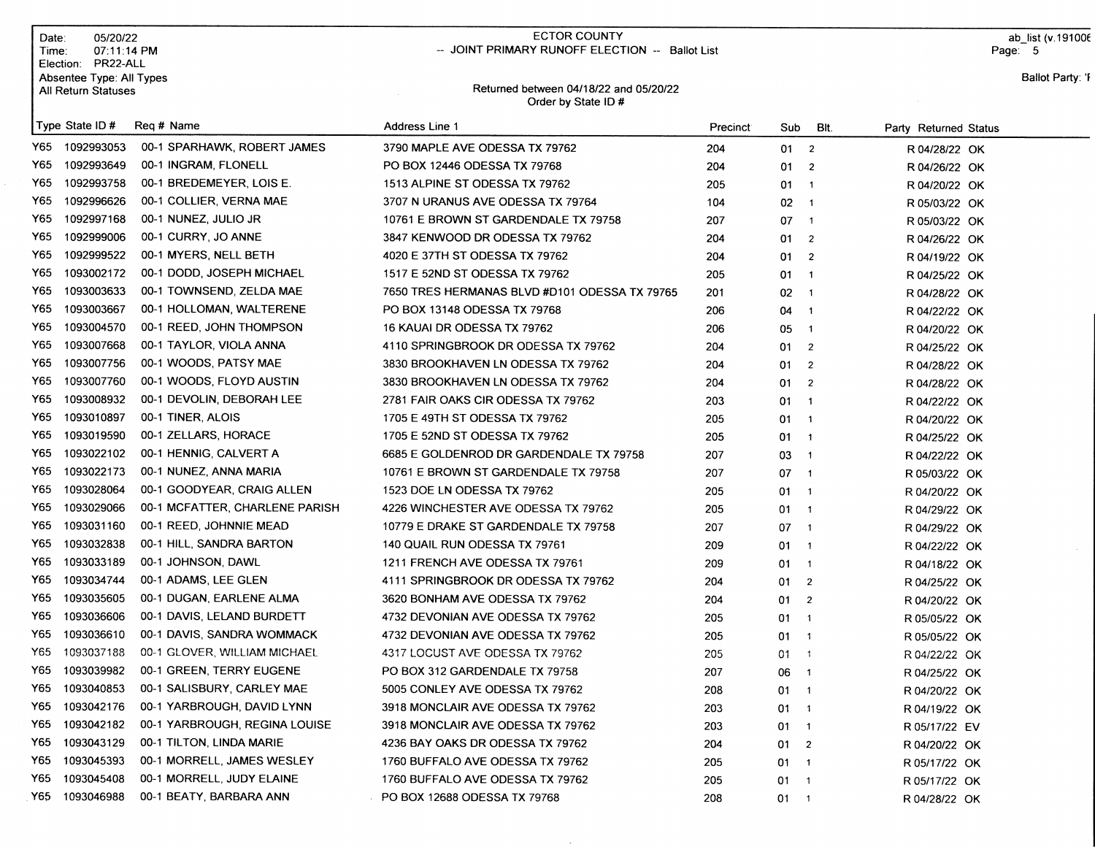| Date:<br>Time: | 05/20/22<br>07:11:14 PM<br>Election: PR22-ALL   |                                | <b>ECTOR COUNTY</b><br>-- JOINT PRIMARY RUNOFF ELECTION -- Ballot List |                       |                                  |                          |                       | ab list (v. 191006<br>Page: 5 |
|----------------|-------------------------------------------------|--------------------------------|------------------------------------------------------------------------|-----------------------|----------------------------------|--------------------------|-----------------------|-------------------------------|
|                | Absentee Type: All Types<br>All Return Statuses |                                | Returned between 04/18/22 and 05/20/22<br>Order by State ID #          |                       |                                  |                          |                       | Ballot Party: 'F              |
|                | Type State ID#                                  | Reg # Name                     | Address Line 1                                                         | Precinct <sup>®</sup> | Sub                              | BIt.                     | Party Returned Status |                               |
| Y65            | 1092993053                                      | 00-1 SPARHAWK, ROBERT JAMES    | 3790 MAPLE AVE ODESSA TX 79762                                         | 204                   | 012                              |                          | R 04/28/22 OK         |                               |
| Y65            | 1092993649                                      | 00-1 INGRAM, FLONELL           | PO BOX 12446 ODESSA TX 79768                                           | 204                   | 01                               | $\overline{2}$           | R 04/26/22 OK         |                               |
| Y65            | 1092993758                                      | 00-1 BREDEMEYER, LOIS E.       | 1513 ALPINE ST ODESSA TX 79762                                         | 205                   | $01 \quad 1$                     |                          | R 04/20/22 OK         |                               |
| Y65            | 1092996626                                      | 00-1 COLLIER, VERNA MAE        | 3707 N URANUS AVE ODESSA TX 79764                                      | 104                   | 02                               | $\overline{1}$           | R 05/03/22 OK         |                               |
| Y65            | 1092997168                                      | 00-1 NUNEZ, JULIO JR           | 10761 E BROWN ST GARDENDALE TX 79758                                   | 207                   | 07                               | $\overline{1}$           | R 05/03/22 OK         |                               |
| Y65            | 1092999006                                      | 00-1 CURRY, JO ANNE            | 3847 KENWOOD DR ODESSA TX 79762                                        | 204                   | 01                               | $\overline{2}$           | R 04/26/22 OK         |                               |
| Y65            | 1092999522                                      | 00-1 MYERS, NELL BETH          | 4020 E 37TH ST ODESSA TX 79762                                         | 204                   | 01                               | $\overline{2}$           | R 04/19/22 OK         |                               |
| Y65            | 1093002172                                      | 00-1 DODD, JOSEPH MICHAEL      | 1517 E 52ND ST ODESSA TX 79762                                         | 205                   | 01                               | $\overline{\mathbf{1}}$  | R 04/25/22 OK         |                               |
| Y65            | 1093003633                                      | 00-1 TOWNSEND, ZELDA MAE       | 7650 TRES HERMANAS BLVD #D101 ODESSA TX 79765                          | 201                   | $02 - 1$                         |                          | R 04/28/22 OK         |                               |
| Y65            | 1093003667                                      | 00-1 HOLLOMAN, WALTERENE       | PO BOX 13148 ODESSA TX 79768                                           | 206                   | 04 1                             |                          | R 04/22/22 OK         |                               |
| Y65            | 1093004570                                      | 00-1 REED, JOHN THOMPSON       | 16 KAUAI DR ODESSA TX 79762                                            | 206                   | 05                               | $\overline{\phantom{0}}$ | R 04/20/22 OK         |                               |
| Y65            | 1093007668                                      | 00-1 TAYLOR, VIOLA ANNA        | 4110 SPRINGBROOK DR ODESSA TX 79762                                    | 204                   | 01                               | $\overline{2}$           | R 04/25/22 OK         |                               |
| Y65            | 1093007756                                      | 00-1 WOODS, PATSY MAE          | 3830 BROOKHAVEN LN ODESSA TX 79762                                     | 204                   | 01                               | $\overline{2}$           | R 04/28/22 OK         |                               |
| Y65            | 1093007760                                      | 00-1 WOODS, FLOYD AUSTIN       | 3830 BROOKHAVEN LN ODESSA TX 79762                                     | 204                   | 01                               | $\overline{2}$           | R 04/28/22 OK         |                               |
| Y65            | 1093008932                                      | 00-1 DEVOLIN, DEBORAH LEE      | 2781 FAIR OAKS CIR ODESSA TX 79762                                     | 203                   | $01 \quad 1$                     |                          | R 04/22/22 OK         |                               |
| Y65            | 1093010897                                      | 00-1 TINER, ALOIS              | 1705 E 49TH ST ODESSA TX 79762                                         | 205                   | $01 \quad 1$                     |                          | R 04/20/22 OK         |                               |
| Y65            | 1093019590                                      | 00-1 ZELLARS, HORACE           | 1705 E 52ND ST ODESSA TX 79762                                         | 205                   | $01 \quad 1$                     |                          | R 04/25/22 OK         |                               |
| Y65            | 1093022102                                      | 00-1 HENNIG, CALVERT A         | 6685 E GOLDENROD DR GARDENDALE TX 79758                                | 207                   | 03 1                             |                          | R 04/22/22 OK         |                               |
| Y65            | 1093022173                                      | 00-1 NUNEZ, ANNA MARIA         | 10761 E BROWN ST GARDENDALE TX 79758                                   | 207                   | 07 1                             |                          | R 05/03/22 OK         |                               |
| Y65            | 1093028064                                      | 00-1 GOODYEAR, CRAIG ALLEN     | 1523 DOE LN ODESSA TX 79762                                            | 205                   | $01 \quad 1$                     |                          | R 04/20/22 OK         |                               |
| Y65            | 1093029066                                      | 00-1 MCFATTER, CHARLENE PARISH | 4226 WINCHESTER AVE ODESSA TX 79762                                    | 205                   | $01 \quad 1$                     |                          | R 04/29/22 OK         |                               |
| Y65            | 1093031160                                      | 00-1 REED, JOHNNIE MEAD        | 10779 E DRAKE ST GARDENDALE TX 79758                                   | 207                   | $07 - 1$                         |                          | R 04/29/22 OK         |                               |
| Y65            | 1093032838                                      | 00-1 HILL, SANDRA BARTON       | 140 QUAIL RUN ODESSA TX 79761                                          | 209                   | $01 \quad 1$                     |                          | R 04/22/22 OK         |                               |
| Y65            | 1093033189                                      | 00-1 JOHNSON, DAWL             | 1211 FRENCH AVE ODESSA TX 79761                                        | 209                   | 01                               | $\overline{1}$           | R 04/18/22 OK         |                               |
| Y65            | 1093034744                                      | 00-1 ADAMS, LEE GLEN           | 4111 SPRINGBROOK DR ODESSA TX 79762                                    | 204                   | 01                               | $\overline{2}$           | R 04/25/22 OK         |                               |
| Y65            | 1093035605                                      | 00-1 DUGAN, EARLENE ALMA       | 3620 BONHAM AVE ODESSA TX 79762                                        | 204                   | 01                               | $\overline{2}$           | R 04/20/22 OK         |                               |
| Y65.           | 1093036606                                      | 00-1 DAVIS, LELAND BURDETT     | 4732 DEVONIAN AVE ODESSA TX 79762                                      | 205                   | 01                               | $\overline{1}$           | R 05/05/22 OK         |                               |
| Y65 -          | 1093036610                                      | 00-1 DAVIS, SANDRA WOMMACK     | 4732 DEVONIAN AVE ODESSA TX 79762                                      | 205                   | $01 \quad 1$                     |                          | R 05/05/22 OK         |                               |
|                | Y65 1093037188                                  | 00-1 GLOVER, WILLIAM MICHAEL   | 4317 LOCUST AVE ODESSA TX 79762                                        | 205                   | 01<br>$\overline{\phantom{0}}$ 1 |                          | R 04/22/22 OK         |                               |
| Y65            | 1093039982                                      | 00-1 GREEN, TERRY EUGENE       | PO BOX 312 GARDENDALE TX 79758                                         | 207                   | 06 1                             |                          | R 04/25/22 OK         |                               |
| Y65            | 1093040853                                      | 00-1 SALISBURY, CARLEY MAE     | 5005 CONLEY AVE ODESSA TX 79762                                        | 208                   | $01 \quad 1$                     |                          | R 04/20/22 OK         |                               |
| Y65            | 1093042176                                      | 00-1 YARBROUGH, DAVID LYNN     | 3918 MONCLAIR AVE ODESSA TX 79762                                      | 203                   | $01 \quad 1$                     |                          | R 04/19/22 OK         |                               |
| Y65            | 1093042182                                      | 00-1 YARBROUGH, REGINA LOUISE  | 3918 MONCLAIR AVE ODESSA TX 79762                                      | 203                   | $01 \quad 1$                     |                          | R 05/17/22 EV         |                               |
| Y65            | 1093043129                                      | 00-1 TILTON, LINDA MARIE       | 4236 BAY OAKS DR ODESSA TX 79762                                       | 204                   | $01 \t 2$                        |                          | R 04/20/22 OK         |                               |
| Y65            | 1093045393                                      | 00-1 MORRELL, JAMES WESLEY     | 1760 BUFFALO AVE ODESSA TX 79762                                       | 205                   | $01 \quad 1$                     |                          | R 05/17/22 OK         |                               |
| Y65            | 1093045408                                      | 00-1 MORRELL, JUDY ELAINE      | 1760 BUFFALO AVE ODESSA TX 79762                                       | 205                   | $01 \quad 1$                     |                          | R 05/17/22 OK         |                               |
| Y65            | 1093046988                                      | 00-1 BEATY, BARBARA ANN        | PO BOX 12688 ODESSA TX 79768                                           | 208                   | $01 \quad 1$                     |                          | R 04/28/22 OK         |                               |

 $\sim$